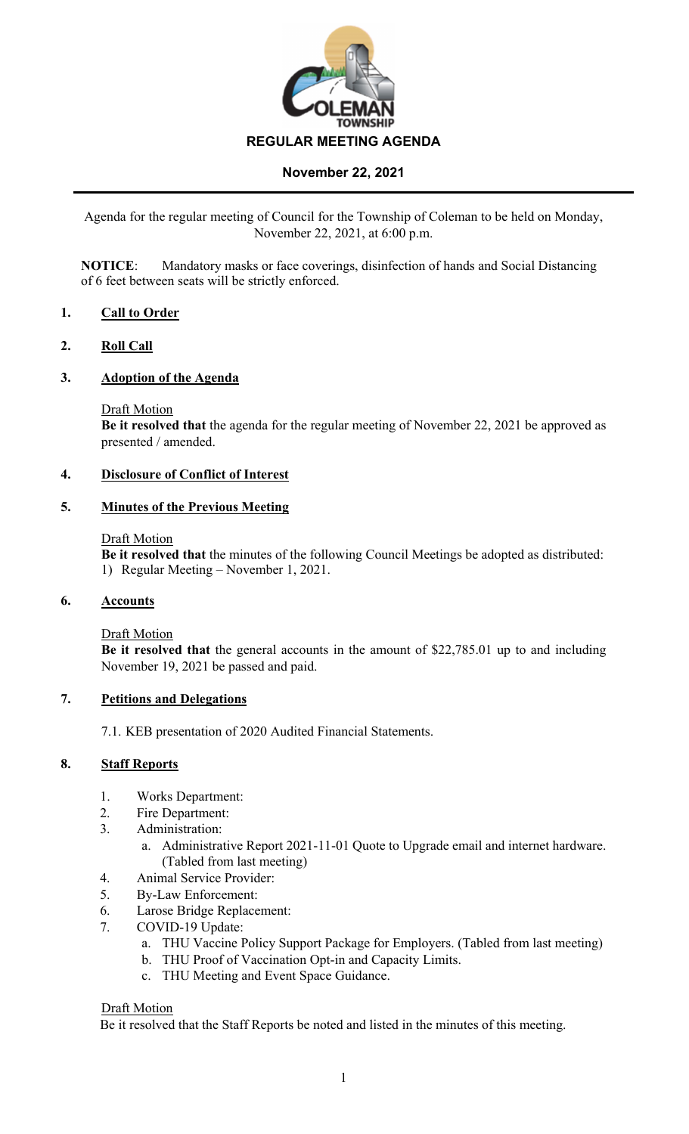

Agenda for the regular meeting of Council for the Township of Coleman to be held on Monday, November 22, 2021, at 6:00 p.m.

**NOTICE**: Mandatory masks or face coverings, disinfection of hands and Social Distancing of 6 feet between seats will be strictly enforced.

## **1. Call to Order**

### **2. Roll Call**

### **3. Adoption of the Agenda**

Draft Motion

**Be it resolved that** the agenda for the regular meeting of November 22, 2021 be approved as presented / amended.

## **4. Disclosure of Conflict of Interest**

#### **5. Minutes of the Previous Meeting**

#### Draft Motion

**Be it resolved that** the minutes of the following Council Meetings be adopted as distributed: 1) Regular Meeting – November 1, 2021.

### **6. Accounts**

Draft Motion

**Be it resolved that** the general accounts in the amount of \$22,785.01 up to and including November 19, 2021 be passed and paid.

#### **7. Petitions and Delegations**

7.1. KEB presentation of 2020 Audited Financial Statements.

### **8. Staff Reports**

- 1. Works Department:
- 2. Fire Department:
- 3. Administration:
	- a. Administrative Report 2021-11-01 Quote to Upgrade email and internet hardware. (Tabled from last meeting)
- 4. Animal Service Provider:
- 5. By-Law Enforcement:
- 6. Larose Bridge Replacement:
- 7. COVID-19 Update:
	- a. THU Vaccine Policy Support Package for Employers. (Tabled from last meeting)
	- b. THU Proof of Vaccination Opt-in and Capacity Limits.
	- c. THU Meeting and Event Space Guidance.

#### Draft Motion

Be it resolved that the Staff Reports be noted and listed in the minutes of this meeting.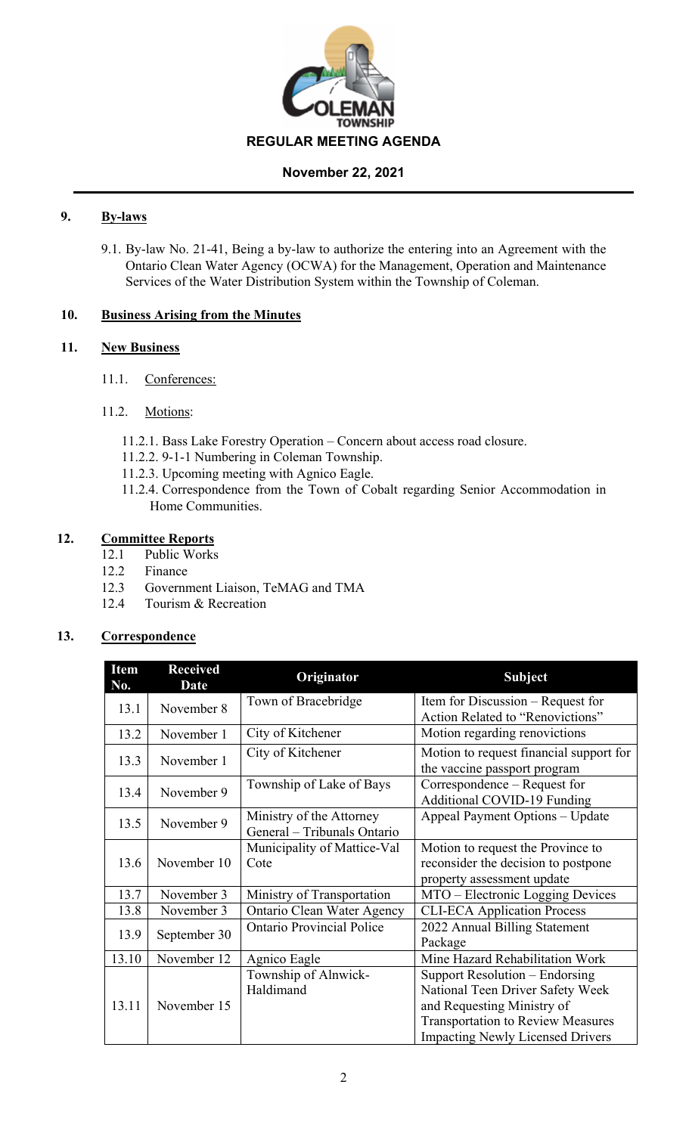

## **9. By-laws**

9.1. By-law No. 21-41, Being a by-law to authorize the entering into an Agreement with the Ontario Clean Water Agency (OCWA) for the Management, Operation and Maintenance Services of the Water Distribution System within the Township of Coleman.

## **10. Business Arising from the Minutes**

## **11. New Business**

- 11.1. Conferences:
- 11.2. Motions:
	- 11.2.1. Bass Lake Forestry Operation Concern about access road closure.
	- 11.2.2. 9-1-1 Numbering in Coleman Township.
	- 11.2.3. Upcoming meeting with Agnico Eagle.
	- 11.2.4. Correspondence from the Town of Cobalt regarding Senior Accommodation in Home Communities.

# **12. Committee Reports**

- 12.1 Public Works
- 12.2 Finance
- 12.3 Government Liaison, TeMAG and TMA
- 12.4 Tourism & Recreation

# **13. Correspondence**

| <b>Item</b><br>No. | <b>Received</b><br><b>Date</b> | Originator                                              | <b>Subject</b>                                                                                                                                                                          |  |
|--------------------|--------------------------------|---------------------------------------------------------|-----------------------------------------------------------------------------------------------------------------------------------------------------------------------------------------|--|
| 13.1               | November 8                     | Town of Bracebridge                                     | Item for Discussion – Request for<br>Action Related to "Renovictions"                                                                                                                   |  |
| 13.2               | November 1                     | City of Kitchener                                       | Motion regarding renovictions                                                                                                                                                           |  |
| 13.3               | November 1                     | City of Kitchener                                       | Motion to request financial support for<br>the vaccine passport program                                                                                                                 |  |
| 13.4               | November 9                     | Township of Lake of Bays                                | Correspondence – Request for<br><b>Additional COVID-19 Funding</b>                                                                                                                      |  |
| 13.5               | November 9                     | Ministry of the Attorney<br>General - Tribunals Ontario | Appeal Payment Options - Update                                                                                                                                                         |  |
| 13.6               | November 10                    | Municipality of Mattice-Val<br>Cote                     | Motion to request the Province to<br>reconsider the decision to postpone<br>property assessment update                                                                                  |  |
| 13.7               | November 3                     | Ministry of Transportation                              | MTO – Electronic Logging Devices                                                                                                                                                        |  |
| 13.8               | November 3                     | Ontario Clean Water Agency                              | <b>CLI-ECA Application Process</b>                                                                                                                                                      |  |
| 13.9               | September 30                   | <b>Ontario Provincial Police</b>                        | 2022 Annual Billing Statement<br>Package                                                                                                                                                |  |
| 13.10              | November 12                    | Agnico Eagle                                            | Mine Hazard Rehabilitation Work                                                                                                                                                         |  |
| 13.11              | November 15                    | Township of Alnwick-<br>Haldimand                       | Support Resolution – Endorsing<br>National Teen Driver Safety Week<br>and Requesting Ministry of<br><b>Transportation to Review Measures</b><br><b>Impacting Newly Licensed Drivers</b> |  |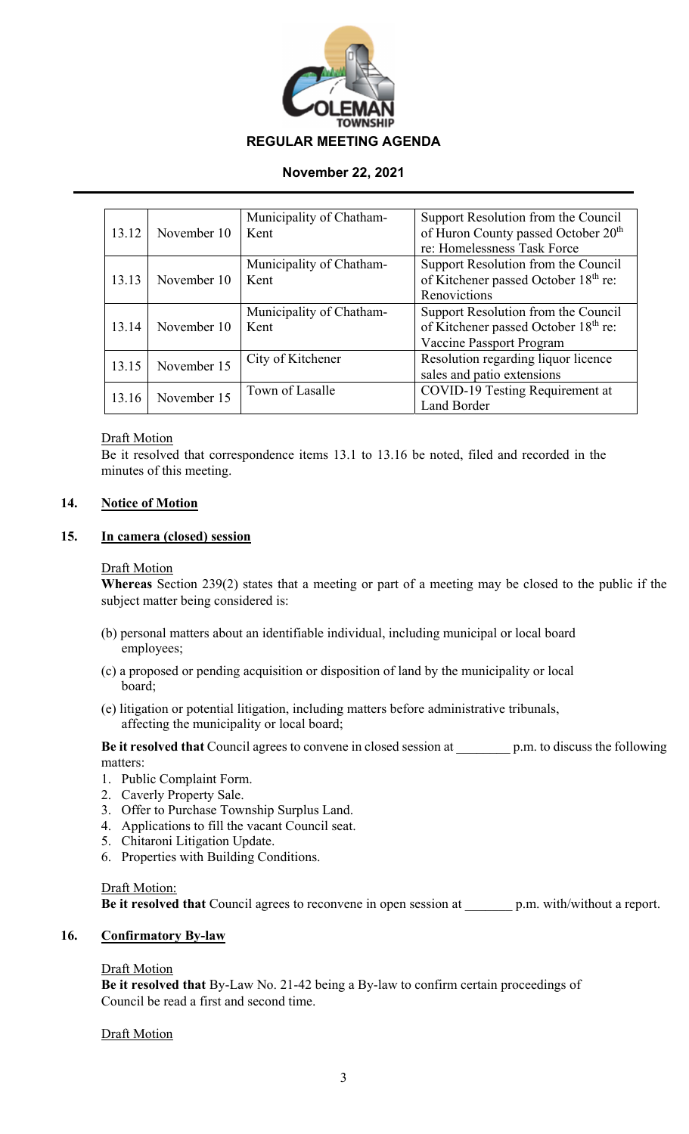

|       |             | Municipality of Chatham- | Support Resolution from the Council              |  |
|-------|-------------|--------------------------|--------------------------------------------------|--|
| 13.12 | November 10 | Kent                     | of Huron County passed October 20 <sup>th</sup>  |  |
|       |             |                          | re: Homelessness Task Force                      |  |
|       |             | Municipality of Chatham- | Support Resolution from the Council              |  |
| 13.13 | November 10 | Kent                     | of Kitchener passed October 18th re:             |  |
|       |             |                          | Renovictions                                     |  |
|       |             | Municipality of Chatham- | Support Resolution from the Council              |  |
| 13.14 | November 10 | Kent                     | of Kitchener passed October 18 <sup>th</sup> re: |  |
|       |             |                          | Vaccine Passport Program                         |  |
| 13.15 | November 15 | City of Kitchener        | Resolution regarding liquor licence              |  |
|       |             |                          | sales and patio extensions                       |  |
|       | November 15 | Town of Lasalle          | COVID-19 Testing Requirement at                  |  |
| 13.16 |             |                          | Land Border                                      |  |

## **Draft Motion**

Be it resolved that correspondence items 13.1 to 13.16 be noted, filed and recorded in the minutes of this meeting.

## **14. Notice of Motion**

## **15. In camera (closed) session**

## Draft Motion

**Whereas** Section 239(2) states that a meeting or part of a meeting may be closed to the public if the subject matter being considered is:

- (b) personal matters about an identifiable individual, including municipal or local board employees;
- (c) a proposed or pending acquisition or disposition of land by the municipality or local board;
- (e) litigation or potential litigation, including matters before administrative tribunals, affecting the municipality or local board;

**Be it resolved that** Council agrees to convene in closed session at \_\_\_\_\_\_\_\_ p.m. to discuss the following matters:

- 1. Public Complaint Form.
- 2. Caverly Property Sale.
- 3. Offer to Purchase Township Surplus Land.
- 4. Applications to fill the vacant Council seat.
- 5. Chitaroni Litigation Update.
- 6. Properties with Building Conditions.

## Draft Motion:

**Be it resolved that** Council agrees to reconvene in open session at \_\_\_\_\_\_\_ p.m. with/without a report.

## **16. Confirmatory By-law**

## Draft Motion

**Be it resolved that** By-Law No. 21-42 being a By-law to confirm certain proceedings of Council be read a first and second time.

## **Draft Motion**